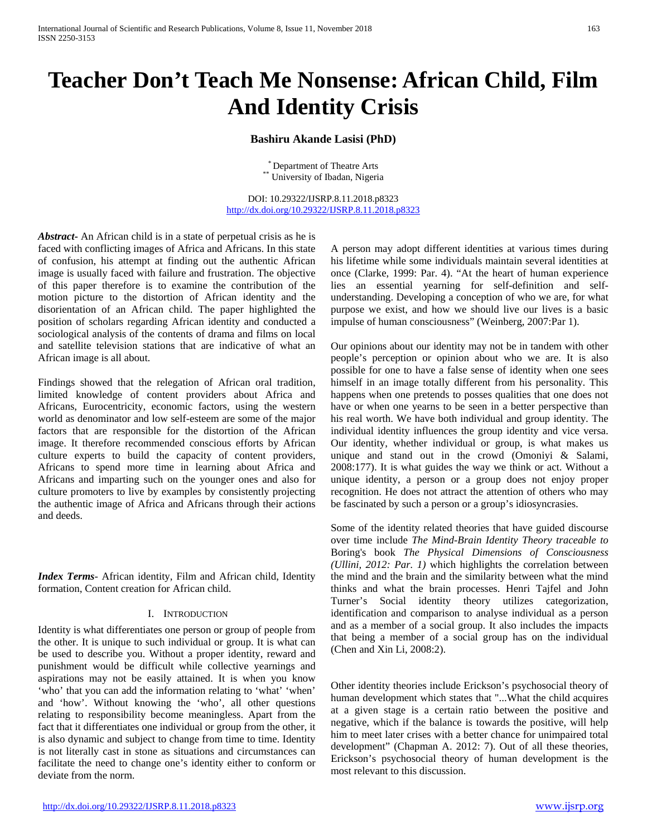# **Teacher Don't Teach Me Nonsense: African Child, Film And Identity Crisis**

### **Bashiru Akande Lasisi (PhD)**

\* Department of Theatre Arts \*\* University of Ibadan, Nigeria

DOI: 10.29322/IJSRP.8.11.2018.p8323 <http://dx.doi.org/10.29322/IJSRP.8.11.2018.p8323>

*Abstract***-** An African child is in a state of perpetual crisis as he is faced with conflicting images of Africa and Africans. In this state of confusion, his attempt at finding out the authentic African image is usually faced with failure and frustration. The objective of this paper therefore is to examine the contribution of the motion picture to the distortion of African identity and the disorientation of an African child. The paper highlighted the position of scholars regarding African identity and conducted a sociological analysis of the contents of drama and films on local and satellite television stations that are indicative of what an African image is all about.

Findings showed that the relegation of African oral tradition, limited knowledge of content providers about Africa and Africans, Eurocentricity, economic factors, using the western world as denominator and low self-esteem are some of the major factors that are responsible for the distortion of the African image. It therefore recommended conscious efforts by African culture experts to build the capacity of content providers, Africans to spend more time in learning about Africa and Africans and imparting such on the younger ones and also for culture promoters to live by examples by consistently projecting the authentic image of Africa and Africans through their actions and deeds.

*Index Terms*- African identity, Film and African child, Identity formation, Content creation for African child.

#### I. INTRODUCTION

Identity is what differentiates one person or group of people from the other. It is unique to such individual or group. It is what can be used to describe you. Without a proper identity, reward and punishment would be difficult while collective yearnings and aspirations may not be easily attained. It is when you know 'who' that you can add the information relating to 'what' 'when' and 'how'. Without knowing the 'who', all other questions relating to responsibility become meaningless. Apart from the fact that it differentiates one individual or group from the other, it is also dynamic and subject to change from time to time. Identity is not literally cast in stone as situations and circumstances can facilitate the need to change one's identity either to conform or deviate from the norm.

A person may adopt different identities at various times during his lifetime while some individuals maintain several identities at once (Clarke, 1999: Par. 4). "At the heart of human experience lies an essential yearning for self-definition and selfunderstanding. Developing a conception of who we are, for what purpose we exist, and how we should live our lives is a basic impulse of human consciousness" (Weinberg, 2007:Par 1).

Our opinions about our identity may not be in tandem with other people's perception or opinion about who we are. It is also possible for one to have a false sense of identity when one sees himself in an image totally different from his personality. This happens when one pretends to posses qualities that one does not have or when one yearns to be seen in a better perspective than his real worth. We have both individual and group identity. The individual identity influences the group identity and vice versa. Our identity, whether individual or group, is what makes us unique and stand out in the crowd (Omoniyi & Salami, 2008:177). It is what guides the way we think or act. Without a unique identity, a person or a group does not enjoy proper recognition. He does not attract the attention of others who may be fascinated by such a person or a group's idiosyncrasies.

Some of the identity related theories that have guided discourse over time include *The Mind-Brain Identity Theory traceable to*  Boring's book *The Physical Dimensions of Consciousness (Ullini, 2012: Par. 1)* which highlights the correlation between the mind and the brain and the similarity between what the mind thinks and what the brain processes. Henri Tajfel and John Turner's Social identity theory utilizes categorization, identification and comparison to analyse individual as a person and as a member of a social group. It also includes the impacts that being a member of a social group has on the individual (Chen and Xin Li, 2008:2).

Other identity theories include Erickson's psychosocial theory of human development which states that "...What the child acquires at a given stage is a certain ratio between the positive and negative, which if the balance is towards the positive, will help him to meet later crises with a better chance for unimpaired total development" (Chapman A. 2012: 7). Out of all these theories, Erickson's psychosocial theory of human development is the most relevant to this discussion.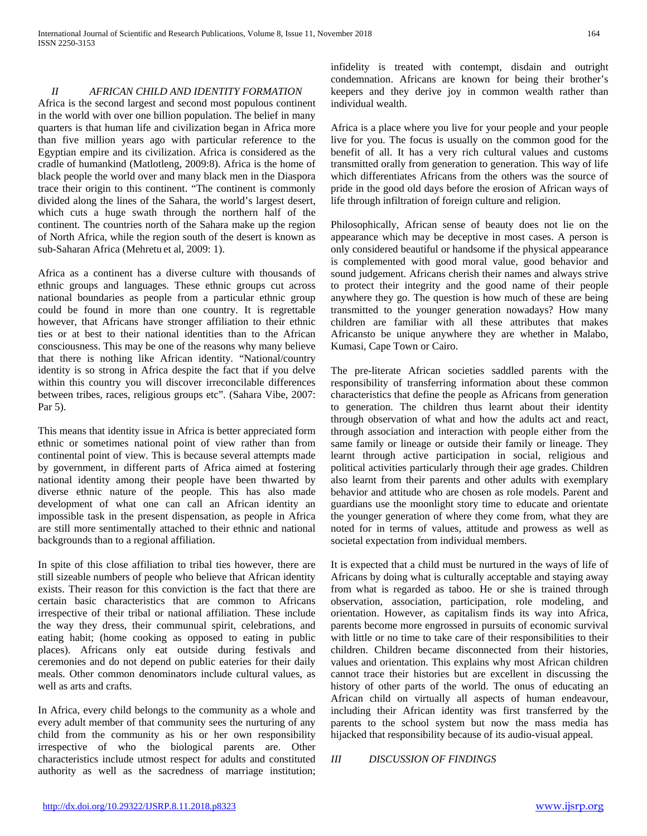#### *II AFRICAN CHILD AND IDENTITY FORMATION*

Africa is the second largest and second most populous continent in the world with over one billion population. The belief in many quarters is that human life and civilization began in Africa more than five million years ago with particular reference to the Egyptian empire and its civilization. Africa is considered as the cradle of humankind (Matlotleng, 2009:8). Africa is the home of black people the world over and many black men in the Diaspora trace their origin to this continent. "The continent is commonly divided along the lines of the Sahara, the world's largest desert, which cuts a huge swath through the northern half of the continent. The countries north of the Sahara make up the region of North Africa, while the region south of the desert is known as sub-Saharan Africa (Mehretu et al, 2009: 1).

Africa as a continent has a diverse culture with thousands of ethnic groups and languages. These ethnic groups cut across national boundaries as people from a particular ethnic group could be found in more than one country. It is regrettable however, that Africans have stronger affiliation to their ethnic ties or at best to their national identities than to the African consciousness. This may be one of the reasons why many believe that there is nothing like African identity. "National/country identity is so strong in Africa despite the fact that if you delve within this country you will discover irreconcilable differences between tribes, races, religious groups etc". (Sahara Vibe, 2007: Par 5).

This means that identity issue in Africa is better appreciated form ethnic or sometimes national point of view rather than from continental point of view. This is because several attempts made by government, in different parts of Africa aimed at fostering national identity among their people have been thwarted by diverse ethnic nature of the people. This has also made development of what one can call an African identity an impossible task in the present dispensation, as people in Africa are still more sentimentally attached to their ethnic and national backgrounds than to a regional affiliation.

In spite of this close affiliation to tribal ties however, there are still sizeable numbers of people who believe that African identity exists. Their reason for this conviction is the fact that there are certain basic characteristics that are common to Africans irrespective of their tribal or national affiliation. These include the way they dress, their communual spirit, celebrations, and eating habit; (home cooking as opposed to eating in public places). Africans only eat outside during festivals and ceremonies and do not depend on public eateries for their daily meals. Other common denominators include cultural values, as well as arts and crafts.

In Africa, every child belongs to the community as a whole and every adult member of that community sees the nurturing of any child from the community as his or her own responsibility irrespective of who the biological parents are. Other characteristics include utmost respect for adults and constituted authority as well as the sacredness of marriage institution; infidelity is treated with contempt, disdain and outright condemnation. Africans are known for being their brother's keepers and they derive joy in common wealth rather than individual wealth.

Africa is a place where you live for your people and your people live for you. The focus is usually on the common good for the benefit of all. It has a very rich cultural values and customs transmitted orally from generation to generation. This way of life which differentiates Africans from the others was the source of pride in the good old days before the erosion of African ways of life through infiltration of foreign culture and religion.

Philosophically, African sense of beauty does not lie on the appearance which may be deceptive in most cases. A person is only considered beautiful or handsome if the physical appearance is complemented with good moral value, good behavior and sound judgement. Africans cherish their names and always strive to protect their integrity and the good name of their people anywhere they go. The question is how much of these are being transmitted to the younger generation nowadays? How many children are familiar with all these attributes that makes Africansto be unique anywhere they are whether in Malabo, Kumasi, Cape Town or Cairo.

The pre-literate African societies saddled parents with the responsibility of transferring information about these common characteristics that define the people as Africans from generation to generation. The children thus learnt about their identity through observation of what and how the adults act and react, through association and interaction with people either from the same family or lineage or outside their family or lineage. They learnt through active participation in social, religious and political activities particularly through their age grades. Children also learnt from their parents and other adults with exemplary behavior and attitude who are chosen as role models. Parent and guardians use the moonlight story time to educate and orientate the younger generation of where they come from, what they are noted for in terms of values, attitude and prowess as well as societal expectation from individual members.

It is expected that a child must be nurtured in the ways of life of Africans by doing what is culturally acceptable and staying away from what is regarded as taboo. He or she is trained through observation, association, participation, role modeling, and orientation. However, as capitalism finds its way into Africa, parents become more engrossed in pursuits of economic survival with little or no time to take care of their responsibilities to their children. Children became disconnected from their histories, values and orientation. This explains why most African children cannot trace their histories but are excellent in discussing the history of other parts of the world. The onus of educating an African child on virtually all aspects of human endeavour, including their African identity was first transferred by the parents to the school system but now the mass media has hijacked that responsibility because of its audio-visual appeal.

*III DISCUSSION OF FINDINGS*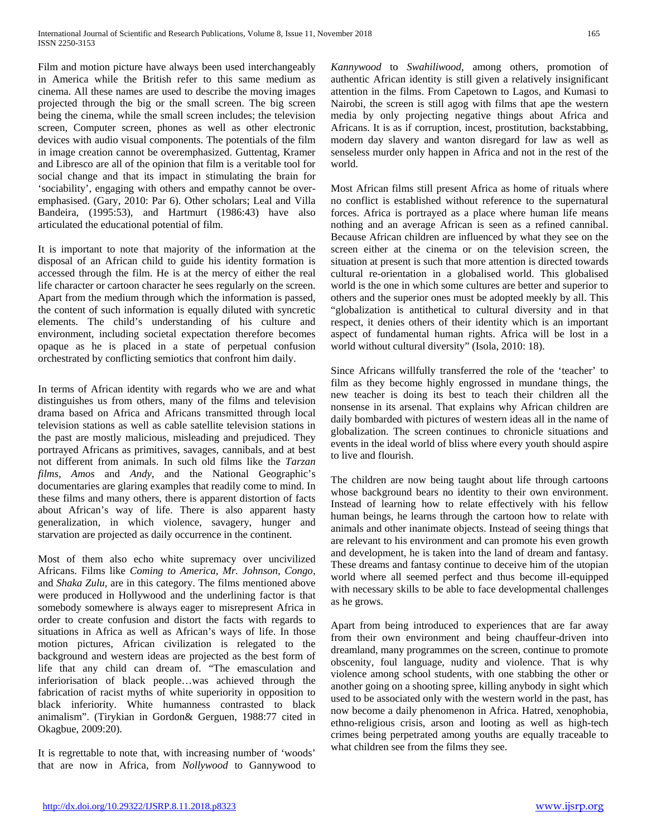Film and motion picture have always been used interchangeably in America while the British refer to this same medium as cinema. All these names are used to describe the moving images projected through the big or the small screen. The big screen being the cinema, while the small screen includes; the television screen, Computer screen, phones as well as other electronic devices with audio visual components. The potentials of the film in image creation cannot be overemphasized. Guttentag, Kramer and Libresco are all of the opinion that film is a veritable tool for social change and that its impact in stimulating the brain for 'sociability', engaging with others and empathy cannot be overemphasised. (Gary, 2010: Par 6). Other scholars; Leal and Villa Bandeira, (1995:53), and Hartmurt (1986:43) have also articulated the educational potential of film.

It is important to note that majority of the information at the disposal of an African child to guide his identity formation is accessed through the film. He is at the mercy of either the real life character or cartoon character he sees regularly on the screen. Apart from the medium through which the information is passed, the content of such information is equally diluted with syncretic elements. The child's understanding of his culture and environment, including societal expectation therefore becomes opaque as he is placed in a state of perpetual confusion orchestrated by conflicting semiotics that confront him daily.

In terms of African identity with regards who we are and what distinguishes us from others, many of the films and television drama based on Africa and Africans transmitted through local television stations as well as cable satellite television stations in the past are mostly malicious, misleading and prejudiced. They portrayed Africans as primitives, savages, cannibals, and at best not different from animals. In such old films like the *Tarzan films, Amos* and *Andy*, and the National Geographic's documentaries are glaring examples that readily come to mind. In these films and many others, there is apparent distortion of facts about African's way of life. There is also apparent hasty generalization, in which violence, savagery, hunger and starvation are projected as daily occurrence in the continent.

Most of them also echo white supremacy over uncivilized Africans. Films like *Coming to America, Mr. Johnson, Congo*, and *Shaka Zulu*, are in this category. The films mentioned above were produced in Hollywood and the underlining factor is that somebody somewhere is always eager to misrepresent Africa in order to create confusion and distort the facts with regards to situations in Africa as well as African's ways of life. In those motion pictures, African civilization is relegated to the background and western ideas are projected as the best form of life that any child can dream of. "The emasculation and inferiorisation of black people…was achieved through the fabrication of racist myths of white superiority in opposition to black inferiority. White humanness contrasted to black animalism". (Tirykian in Gordon& Gerguen, 1988:77 cited in Okagbue, 2009:20).

It is regrettable to note that, with increasing number of 'woods' that are now in Africa, from *Nollywood* to Gannywood to *Kannywood* to *Swahiliwood*, among others, promotion of authentic African identity is still given a relatively insignificant attention in the films. From Capetown to Lagos, and Kumasi to Nairobi, the screen is still agog with films that ape the western media by only projecting negative things about Africa and Africans. It is as if corruption, incest, prostitution, backstabbing, modern day slavery and wanton disregard for law as well as senseless murder only happen in Africa and not in the rest of the world.

Most African films still present Africa as home of rituals where no conflict is established without reference to the supernatural forces. Africa is portrayed as a place where human life means nothing and an average African is seen as a refined cannibal. Because African children are influenced by what they see on the screen either at the cinema or on the television screen, the situation at present is such that more attention is directed towards cultural re-orientation in a globalised world. This globalised world is the one in which some cultures are better and superior to others and the superior ones must be adopted meekly by all. This "globalization is antithetical to cultural diversity and in that respect, it denies others of their identity which is an important aspect of fundamental human rights. Africa will be lost in a world without cultural diversity" (Isola, 2010: 18).

Since Africans willfully transferred the role of the 'teacher' to film as they become highly engrossed in mundane things, the new teacher is doing its best to teach their children all the nonsense in its arsenal. That explains why African children are daily bombarded with pictures of western ideas all in the name of globalization. The screen continues to chronicle situations and events in the ideal world of bliss where every youth should aspire to live and flourish.

The children are now being taught about life through cartoons whose background bears no identity to their own environment. Instead of learning how to relate effectively with his fellow human beings, he learns through the cartoon how to relate with animals and other inanimate objects. Instead of seeing things that are relevant to his environment and can promote his even growth and development, he is taken into the land of dream and fantasy. These dreams and fantasy continue to deceive him of the utopian world where all seemed perfect and thus become ill-equipped with necessary skills to be able to face developmental challenges as he grows.

Apart from being introduced to experiences that are far away from their own environment and being chauffeur-driven into dreamland, many programmes on the screen, continue to promote obscenity, foul language, nudity and violence. That is why violence among school students, with one stabbing the other or another going on a shooting spree, killing anybody in sight which used to be associated only with the western world in the past, has now become a daily phenomenon in Africa. Hatred, xenophobia, ethno-religious crisis, arson and looting as well as high-tech crimes being perpetrated among youths are equally traceable to what children see from the films they see.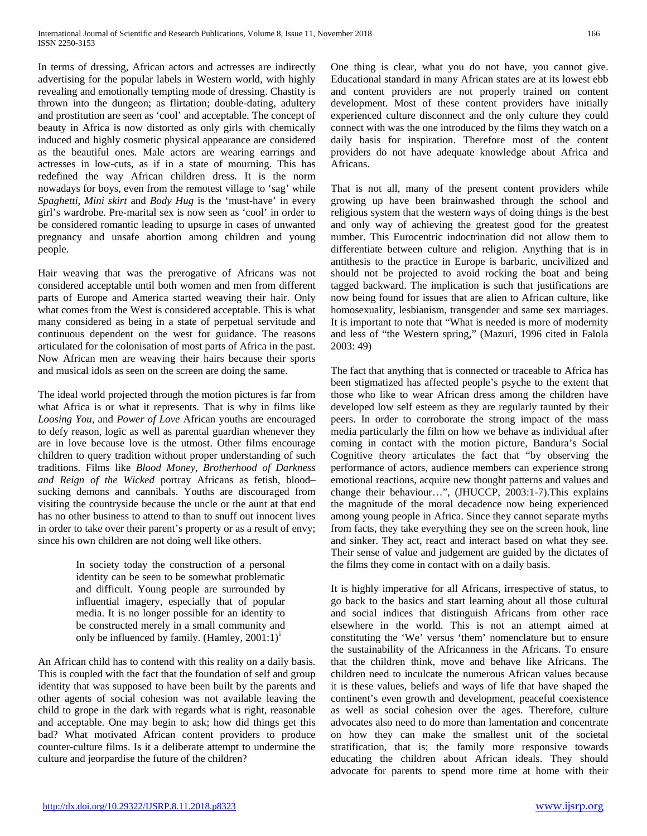In terms of dressing, African actors and actresses are indirectly advertising for the popular labels in Western world, with highly revealing and emotionally tempting mode of dressing. Chastity is thrown into the dungeon; as flirtation; double-dating, adultery and prostitution are seen as 'cool' and acceptable. The concept of beauty in Africa is now distorted as only girls with chemically induced and highly cosmetic physical appearance are considered as the beautiful ones. Male actors are wearing earrings and actresses in low-cuts, as if in a state of mourning. This has redefined the way African children dress. It is the norm nowadays for boys, even from the remotest village to 'sag' while *Spaghetti*, *Mini skirt* and *Body Hug* is the 'must-have' in every girl's wardrobe. Pre-marital sex is now seen as 'cool' in order to be considered romantic leading to upsurge in cases of unwanted pregnancy and unsafe abortion among children and young people.

Hair weaving that was the prerogative of Africans was not considered acceptable until both women and men from different parts of Europe and America started weaving their hair. Only what comes from the West is considered acceptable. This is what many considered as being in a state of perpetual servitude and continuous dependent on the west for guidance. The reasons articulated for the colonisation of most parts of Africa in the past. Now African men are weaving their hairs because their sports and musical idols as seen on the screen are doing the same.

The ideal world projected through the motion pictures is far from what Africa is or what it represents. That is why in films like *Loosing You*, and *Power of Love* African youths are encouraged to defy reason, logic as well as parental guardian whenever they are in love because love is the utmost. Other films encourage children to query tradition without proper understanding of such traditions. Films like *Blood Money, Brotherhood of Darkness and Reign of the Wicked* portray Africans as fetish, blood– sucking demons and cannibals. Youths are discouraged from visiting the countryside because the uncle or the aunt at that end has no other business to attend to than to snuff out innocent lives in order to take over their parent's property or as a result of envy; since his own children are not doing well like others.

> In society today the construction of a personal identity can be seen to be somewhat problematic and difficult. Young people are surrounded by influential imagery, especially that of popular media. It is no longer possible for an identity to be constructed merely in a small community and only be [i](#page-5-0)nfluenced by family. (Hamley,  $2001:1$ )<sup>i</sup>

An African child has to contend with this reality on a daily basis. This is coupled with the fact that the foundation of self and group identity that was supposed to have been built by the parents and other agents of social cohesion was not available leaving the child to grope in the dark with regards what is right, reasonable and acceptable. One may begin to ask; how did things get this bad? What motivated African content providers to produce counter-culture films. Is it a deliberate attempt to undermine the culture and jeorpardise the future of the children?

One thing is clear, what you do not have, you cannot give. Educational standard in many African states are at its lowest ebb and content providers are not properly trained on content development. Most of these content providers have initially experienced culture disconnect and the only culture they could connect with was the one introduced by the films they watch on a daily basis for inspiration. Therefore most of the content providers do not have adequate knowledge about Africa and Africans.

That is not all, many of the present content providers while growing up have been brainwashed through the school and religious system that the western ways of doing things is the best and only way of achieving the greatest good for the greatest number. This Eurocentric indoctrination did not allow them to differentiate between culture and religion. Anything that is in antithesis to the practice in Europe is barbaric, uncivilized and should not be projected to avoid rocking the boat and being tagged backward. The implication is such that justifications are now being found for issues that are alien to African culture, like homosexuality, lesbianism, transgender and same sex marriages. It is important to note that "What is needed is more of modernity and less of "the Western spring," (Mazuri, 1996 cited in Falola 2003: 49)

The fact that anything that is connected or traceable to Africa has been stigmatized has affected people's psyche to the extent that those who like to wear African dress among the children have developed low self esteem as they are regularly taunted by their peers. In order to corroborate the strong impact of the mass media particularly the film on how we behave as individual after coming in contact with the motion picture, Bandura's Social Cognitive theory articulates the fact that "by observing the performance of actors, audience members can experience strong emotional reactions, acquire new thought patterns and values and change their behaviour…", (JHUCCP, 2003:1-7).This explains the magnitude of the moral decadence now being experienced among young people in Africa. Since they cannot separate myths from facts, they take everything they see on the screen hook, line and sinker. They act, react and interact based on what they see. Their sense of value and judgement are guided by the dictates of the films they come in contact with on a daily basis.

It is highly imperative for all Africans, irrespective of status, to go back to the basics and start learning about all those cultural and social indices that distinguish Africans from other race elsewhere in the world. This is not an attempt aimed at constituting the 'We' versus 'them' nomenclature but to ensure the sustainability of the Africanness in the Africans. To ensure that the children think, move and behave like Africans. The children need to inculcate the numerous African values because it is these values, beliefs and ways of life that have shaped the continent's even growth and development, peaceful coexistence as well as social cohesion over the ages. Therefore, culture advocates also need to do more than lamentation and concentrate on how they can make the smallest unit of the societal stratification, that is; the family more responsive towards educating the children about African ideals. They should advocate for parents to spend more time at home with their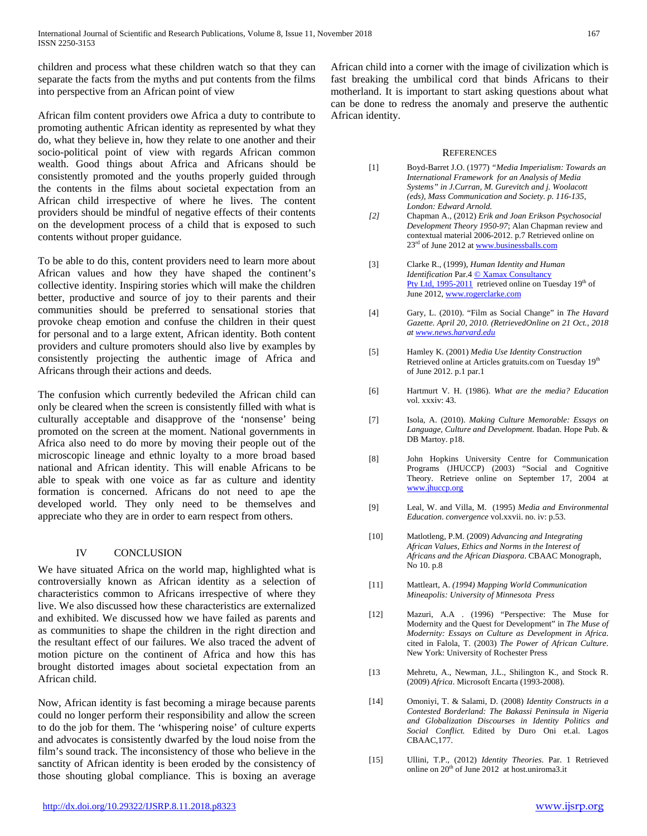children and process what these children watch so that they can separate the facts from the myths and put contents from the films into perspective from an African point of view

African film content providers owe Africa a duty to contribute to promoting authentic African identity as represented by what they do, what they believe in, how they relate to one another and their socio-political point of view with regards African common wealth. Good things about Africa and Africans should be consistently promoted and the youths properly guided through the contents in the films about societal expectation from an African child irrespective of where he lives. The content providers should be mindful of negative effects of their contents on the development process of a child that is exposed to such contents without proper guidance.

To be able to do this, content providers need to learn more about African values and how they have shaped the continent's collective identity. Inspiring stories which will make the children better, productive and source of joy to their parents and their communities should be preferred to sensational stories that provoke cheap emotion and confuse the children in their quest for personal and to a large extent, African identity. Both content providers and culture promoters should also live by examples by consistently projecting the authentic image of Africa and Africans through their actions and deeds.

The confusion which currently bedeviled the African child can only be cleared when the screen is consistently filled with what is culturally acceptable and disapprove of the 'nonsense' being promoted on the screen at the moment. National governments in Africa also need to do more by moving their people out of the microscopic lineage and ethnic loyalty to a more broad based national and African identity. This will enable Africans to be able to speak with one voice as far as culture and identity formation is concerned. Africans do not need to ape the developed world. They only need to be themselves and appreciate who they are in order to earn respect from others.

## IV CONCLUSION

We have situated Africa on the world map, highlighted what is controversially known as African identity as a selection of characteristics common to Africans irrespective of where they live. We also discussed how these characteristics are externalized and exhibited. We discussed how we have failed as parents and as communities to shape the children in the right direction and the resultant effect of our failures. We also traced the advent of motion picture on the continent of Africa and how this has brought distorted images about societal expectation from an African child.

Now, African identity is fast becoming a mirage because parents could no longer perform their responsibility and allow the screen to do the job for them. The 'whispering noise' of culture experts and advocates is consistently dwarfed by the loud noise from the film's sound track. The inconsistency of those who believe in the sanctity of African identity is been eroded by the consistency of those shouting global compliance. This is boxing an average

African child into a corner with the image of civilization which is fast breaking the umbilical cord that binds Africans to their motherland. It is important to start asking questions about what can be done to redress the anomaly and preserve the authentic African identity.

## **REFERENCES**

- [1] Boyd-Barret J.O. (1977) *"Media Imperialism: Towards an International Framework for an Analysis of Media Systems" in J.Curran, M. Gurevitch and j. Woolacott (eds), Mass Communication and Society. p. 116-135, London: Edward Arnold.*
- *[2]* Chapman A., (2012) *Erik and Joan Erikson Psychosocial Development Theory 1950-97*; Alan Chapman review and contextual material 2006-2012. p.7 Retrieved online on 23<sup>rd</sup> of June 2012 a[t www.businessballs.com](http://www.businessballs.com/)
- [3] Clarke R., (1999), *Human Identity and Human Identification* Par.4 [© Xamax Consultancy](http://www.rogerclarke.com/CNotice.html)  [Pty Ltd, 1995-2011](http://www.rogerclarke.com/CNotice.html) retrieved online on Tuesday  $19<sup>th</sup>$  of June 2012, [www.rogerclarke.com](http://www.rogerclarke.com/)
- [4] Gary, L. (2010). "Film as Social Change" in *The Havard Gazette. April 20, 2010. (RetrievedOnline on 21 Oct., 2018 a[t www.news.harvard.edu](http://www.news.harvard.edu/)*
- [5] Hamley K. (2001) *Media Use Identity Construction* Retrieved online at Articles gratuits.com on Tuesday 19th of June 2012. p.1 par.1
- [6] Hartmurt V. H. (1986). *What are the media? Education*  vol. xxxiv: 43.
- [7] Isola, A. (2010). *Making Culture Memorable: Essays on Language, Culture and Development.* Ibadan. Hope Pub. & DB Martoy. p18.
- [8] John Hopkins University Centre for Communication Programs (JHUCCP) (2003) "Social and Cognitive Theory. Retrieve online on September 17, 2004 at [www.jhuccp.org](http://www.jhuccp.org/)
- [9] Leal, W. and Villa, M. (1995) *Media and Environmental Education*. *convergence* vol.xxvii. no. iv: p.53.
- [10] Matlotleng, P.M. (2009) *Advancing and Integrating African Values, Ethics and Norms in the Interest of Africans and the African Diaspora*. CBAAC Monograph, No 10. p.8
- [11] Mattleart, A. *(1994) Mapping World Communication Mineapolis: University of Minnesota Press*
- [12] Mazuri, A.A . (1996) "Perspective: The Muse for Modernity and the Quest for Development" in *The Muse of Modernity: Essays on Culture as Development in Africa*. cited in Falola, T. (2003) *The Power of African Culture*. New York: University of Rochester Press
- [13 Mehretu, A., Newman, J.L., Shilington K., and Stock R. (2009) *Africa*. Microsoft Encarta (1993-2008).
- [14] Omoniyi, T. & Salami, D. (2008) *Identity Constructs in a Contested Borderland: The Bakassi Peninsula in Nigeria and Globalization Discourses in Identity Politics and Social Conflict.* Edited by Duro Oni et.al. Lagos CBAAC,177.
- [15] Ullini, T.P., (2012) *Identity Theories*. Par. 1 Retrieved online on  $20<sup>th</sup>$  of June 2012 at host.uniroma3.it